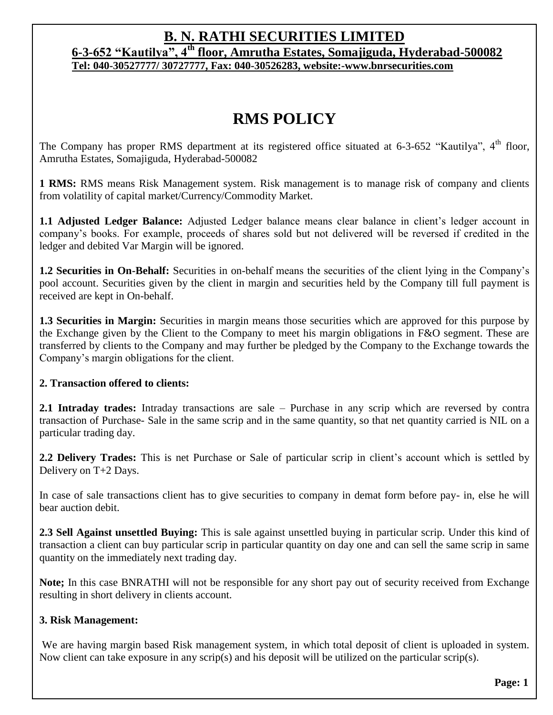## **B. N. RATHI SECURITIES LIMITED**

**6-3-652 "Kautilya", 4th floor, Amrutha Estates, Somajiguda, Hyderabad-500082 Tel: 040-30527777/ 30727777, Fax: 040-30526283, website:-www.bnrsecurities.com**

# **RMS POLICY**

The Company has proper RMS department at its registered office situated at  $6-3-652$  "Kautilya",  $4<sup>th</sup>$  floor, Amrutha Estates, Somajiguda, Hyderabad-500082

**1 RMS:** RMS means Risk Management system. Risk management is to manage risk of company and clients from volatility of capital market/Currency/Commodity Market.

**1.1 Adjusted Ledger Balance:** Adjusted Ledger balance means clear balance in client's ledger account in company's books. For example, proceeds of shares sold but not delivered will be reversed if credited in the ledger and debited Var Margin will be ignored.

**1.2 Securities in On-Behalf:** Securities in on-behalf means the securities of the client lying in the Company's pool account. Securities given by the client in margin and securities held by the Company till full payment is received are kept in On-behalf.

**1.3 Securities in Margin:** Securities in margin means those securities which are approved for this purpose by the Exchange given by the Client to the Company to meet his margin obligations in F&O segment. These are transferred by clients to the Company and may further be pledged by the Company to the Exchange towards the Company's margin obligations for the client.

### **2. Transaction offered to clients:**

**2.1 Intraday trades:** Intraday transactions are sale – Purchase in any scrip which are reversed by contra transaction of Purchase- Sale in the same scrip and in the same quantity, so that net quantity carried is NIL on a particular trading day.

**2.2 Delivery Trades:** This is net Purchase or Sale of particular scrip in client's account which is settled by Delivery on T+2 Days.

In case of sale transactions client has to give securities to company in demat form before pay- in, else he will bear auction debit.

**2.3 Sell Against unsettled Buying:** This is sale against unsettled buying in particular scrip. Under this kind of transaction a client can buy particular scrip in particular quantity on day one and can sell the same scrip in same quantity on the immediately next trading day.

**Note;** In this case BNRATHI will not be responsible for any short pay out of security received from Exchange resulting in short delivery in clients account.

### **3. Risk Management:**

We are having margin based Risk management system, in which total deposit of client is uploaded in system. Now client can take exposure in any scrip(s) and his deposit will be utilized on the particular scrip(s).